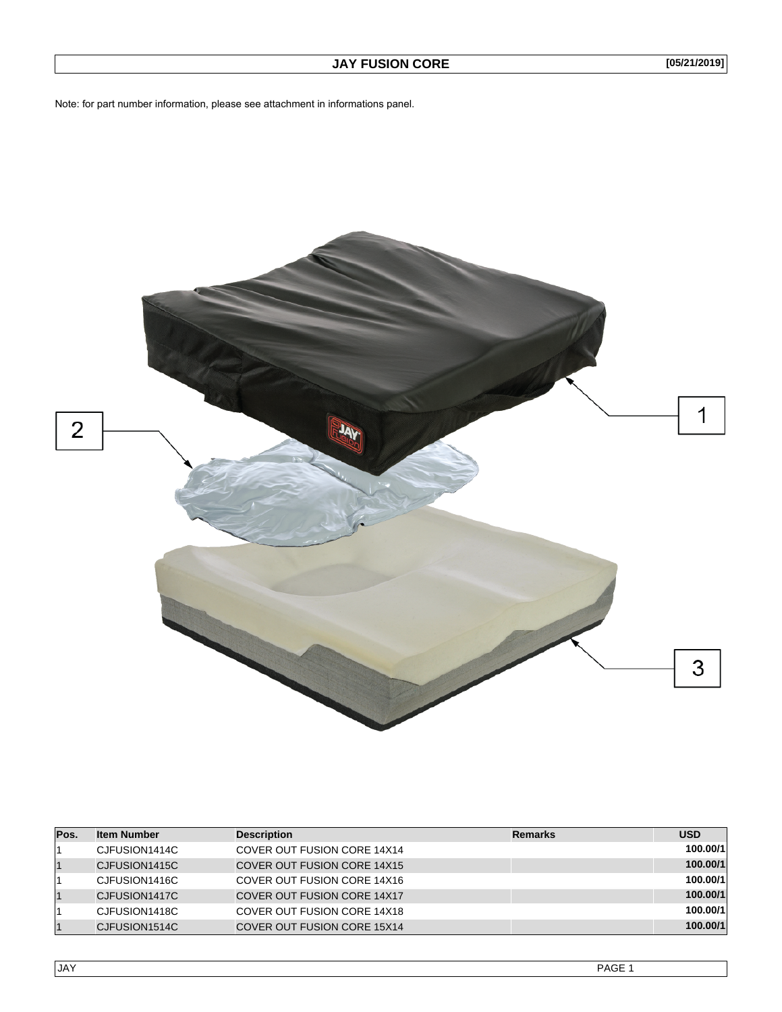Note: for part number information, please see attachment in informations panel.



| Pos. | <b>Item Number</b> | <b>Description</b>                 | <b>Remarks</b> | <b>USD</b> |
|------|--------------------|------------------------------------|----------------|------------|
|      | CJFUSION1414C      | COVER OUT FUSION CORE 14X14        |                | 100.00/1   |
|      | CJFUSION1415C      | COVER OUT FUSION CORE 14X15        |                | 100.00/1   |
|      | CJFUSION1416C      | COVER OUT FUSION CORE 14X16        |                | 100.00/1   |
|      | CJFUSION1417C      | COVER OUT FUSION CORE 14X17        |                | 100.00/1   |
|      | CJFUSION1418C      | COVER OUT FUSION CORE 14X18        |                | 100.00/1   |
|      | CJFUSION1514C      | <b>COVER OUT FUSION CORE 15X14</b> |                | 100.00/1   |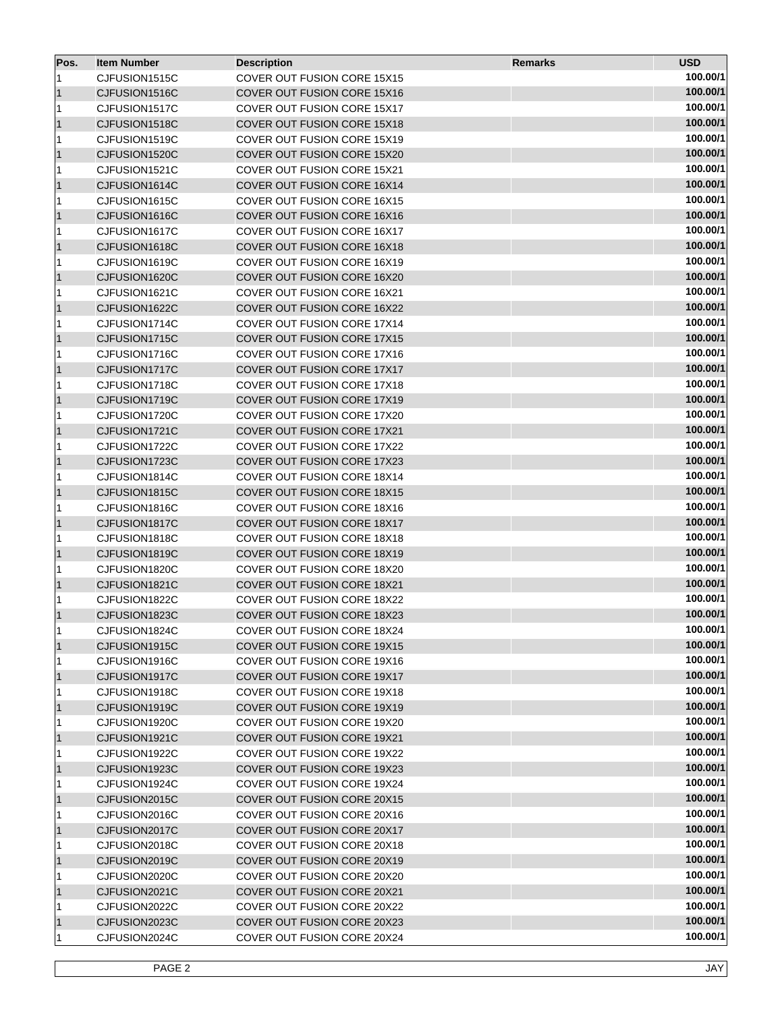| Pos.         | <b>Item Number</b> | <b>Description</b>                 | <b>Remarks</b> | <b>USD</b> |
|--------------|--------------------|------------------------------------|----------------|------------|
| $\mathbf{1}$ | CJFUSION1515C      | <b>COVER OUT FUSION CORE 15X15</b> |                | 100.00/1   |
| $\vert$ 1    | CJFUSION1516C      | <b>COVER OUT FUSION CORE 15X16</b> |                | 100.00/1   |
| 1            | CJFUSION1517C      | COVER OUT FUSION CORE 15X17        |                | 100.00/1   |
| $\vert$ 1    | CJFUSION1518C      | <b>COVER OUT FUSION CORE 15X18</b> |                | 100.00/1   |
| 1            | CJFUSION1519C      | <b>COVER OUT FUSION CORE 15X19</b> |                | 100.00/1   |
| $\vert$ 1    | CJFUSION1520C      | <b>COVER OUT FUSION CORE 15X20</b> |                | 100.00/1   |
| 1            | CJFUSION1521C      | COVER OUT FUSION CORE 15X21        |                | 100.00/1   |
| $\vert$ 1    | CJFUSION1614C      | <b>COVER OUT FUSION CORE 16X14</b> |                | 100.00/1   |
| 1            | CJFUSION1615C      | <b>COVER OUT FUSION CORE 16X15</b> |                | 100.00/1   |
| $\vert$ 1    | CJFUSION1616C      | <b>COVER OUT FUSION CORE 16X16</b> |                | 100.00/1   |
| 1            | CJFUSION1617C      | COVER OUT FUSION CORE 16X17        |                | 100.00/1   |
| $\vert$ 1    | CJFUSION1618C      | <b>COVER OUT FUSION CORE 16X18</b> |                | 100.00/1   |
| 1            | CJFUSION1619C      | COVER OUT FUSION CORE 16X19        |                | 100.00/1   |
| $\vert$ 1    | CJFUSION1620C      | <b>COVER OUT FUSION CORE 16X20</b> |                | 100.00/1   |
| 1            | CJFUSION1621C      | <b>COVER OUT FUSION CORE 16X21</b> |                | 100.00/1   |
| $\vert$ 1    | CJFUSION1622C      | <b>COVER OUT FUSION CORE 16X22</b> |                | 100.00/1   |
| 1            | CJFUSION1714C      | COVER OUT FUSION CORE 17X14        |                | 100.00/1   |
| $\vert$ 1    | CJFUSION1715C      | <b>COVER OUT FUSION CORE 17X15</b> |                | 100.00/1   |
| 1            | CJFUSION1716C      | <b>COVER OUT FUSION CORE 17X16</b> |                | 100.00/1   |
| $\vert$ 1    | CJFUSION1717C      | <b>COVER OUT FUSION CORE 17X17</b> |                | 100.00/1   |
| 1            | CJFUSION1718C      | <b>COVER OUT FUSION CORE 17X18</b> |                | 100.00/1   |
| $\vert$ 1    | CJFUSION1719C      | <b>COVER OUT FUSION CORE 17X19</b> |                | 100.00/1   |
| 1            | CJFUSION1720C      | COVER OUT FUSION CORE 17X20        |                | 100.00/1   |
| $\vert$ 1    | CJFUSION1721C      | <b>COVER OUT FUSION CORE 17X21</b> |                | 100.00/1   |
| 1            | CJFUSION1722C      | <b>COVER OUT FUSION CORE 17X22</b> |                | 100.00/1   |
| $\vert$ 1    | CJFUSION1723C      | <b>COVER OUT FUSION CORE 17X23</b> |                | 100.00/1   |
| 1            | CJFUSION1814C      | <b>COVER OUT FUSION CORE 18X14</b> |                | 100.00/1   |
| $\vert$ 1    | CJFUSION1815C      | <b>COVER OUT FUSION CORE 18X15</b> |                | 100.00/1   |
| 1            | CJFUSION1816C      | <b>COVER OUT FUSION CORE 18X16</b> |                | 100.00/1   |
| $\vert$ 1    | CJFUSION1817C      | <b>COVER OUT FUSION CORE 18X17</b> |                | 100.00/1   |
| 1            | CJFUSION1818C      | <b>COVER OUT FUSION CORE 18X18</b> |                | 100.00/1   |
| $\vert$ 1    | CJFUSION1819C      | <b>COVER OUT FUSION CORE 18X19</b> |                | 100.00/1   |
| 1            | CJFUSION1820C      | <b>COVER OUT FUSION CORE 18X20</b> |                | 100.00/1   |
| $\vert$ 1    | CJFUSION1821C      | <b>COVER OUT FUSION CORE 18X21</b> |                | 100.00/1   |
| 1            | CJFUSION1822C      | <b>COVER OUT FUSION CORE 18X22</b> |                | 100.00/1   |
| $\vert$ 1    | CJFUSION1823C      | COVER OUT FUSION CORE 18X23        |                | 100.00/1   |
| 11           | CJFUSION1824C      | COVER OUT FUSION CORE 18X24        |                | 100.00/1   |
| $\vert$ 1    | CJFUSION1915C      | <b>COVER OUT FUSION CORE 19X15</b> |                | 100.00/1   |
| 1            | CJFUSION1916C      | <b>COVER OUT FUSION CORE 19X16</b> |                | 100.00/1   |
| $\vert$ 1    | CJFUSION1917C      | <b>COVER OUT FUSION CORE 19X17</b> |                | 100.00/1   |
| 1            | CJFUSION1918C      | <b>COVER OUT FUSION CORE 19X18</b> |                | 100.00/1   |
| $\vert$ 1    | CJFUSION1919C      | <b>COVER OUT FUSION CORE 19X19</b> |                | 100.00/1   |
| 1            | CJFUSION1920C      | <b>COVER OUT FUSION CORE 19X20</b> |                | 100.00/1   |
| $\vert$ 1    | CJFUSION1921C      | <b>COVER OUT FUSION CORE 19X21</b> |                | 100.00/1   |
| 1            | CJFUSION1922C      | <b>COVER OUT FUSION CORE 19X22</b> |                | 100.00/1   |
| $\vert$ 1    | CJFUSION1923C      | <b>COVER OUT FUSION CORE 19X23</b> |                | 100.00/1   |
| 1            | CJFUSION1924C      | <b>COVER OUT FUSION CORE 19X24</b> |                | 100.00/1   |
| $\vert$ 1    | CJFUSION2015C      | <b>COVER OUT FUSION CORE 20X15</b> |                | 100.00/1   |
| 1            | CJFUSION2016C      | COVER OUT FUSION CORE 20X16        |                | 100.00/1   |
| $\vert$ 1    | CJFUSION2017C      | <b>COVER OUT FUSION CORE 20X17</b> |                | 100.00/1   |
| 1            | CJFUSION2018C      | COVER OUT FUSION CORE 20X18        |                | 100.00/1   |
| $\vert$ 1    | CJFUSION2019C      | <b>COVER OUT FUSION CORE 20X19</b> |                | 100.00/1   |
| 1            | CJFUSION2020C      | COVER OUT FUSION CORE 20X20        |                | 100.00/1   |
| $\vert$ 1    | CJFUSION2021C      | <b>COVER OUT FUSION CORE 20X21</b> |                | 100.00/1   |
| 1            | CJFUSION2022C      | COVER OUT FUSION CORE 20X22        |                | 100.00/1   |
| $\vert$ 1    | CJFUSION2023C      | COVER OUT FUSION CORE 20X23        |                | 100.00/1   |
| 1            | CJFUSION2024C      | <b>COVER OUT FUSION CORE 20X24</b> |                | 100.00/1   |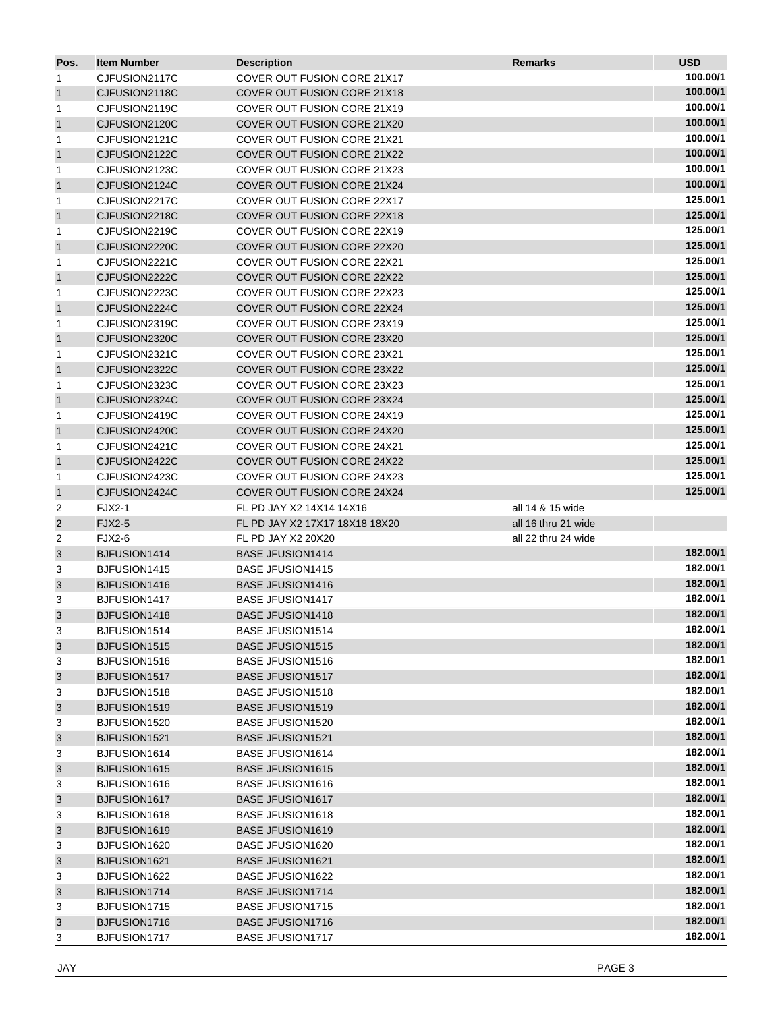| Pos.      | <b>Item Number</b> | <b>Description</b>                 | Remarks             | <b>USD</b> |
|-----------|--------------------|------------------------------------|---------------------|------------|
| 1         | CJFUSION2117C      | COVER OUT FUSION CORE 21X17        |                     | 100.00/1   |
| $\vert$ 1 | CJFUSION2118C      | <b>COVER OUT FUSION CORE 21X18</b> |                     | 100.00/1   |
| 11        | CJFUSION2119C      | <b>COVER OUT FUSION CORE 21X19</b> |                     | 100.00/1   |
| $\vert$ 1 | CJFUSION2120C      | <b>COVER OUT FUSION CORE 21X20</b> |                     | 100.00/1   |
| 1         | CJFUSION2121C      | COVER OUT FUSION CORE 21X21        |                     | 100.00/1   |
| $\vert$ 1 | CJFUSION2122C      | <b>COVER OUT FUSION CORE 21X22</b> |                     | 100.00/1   |
| 1         | CJFUSION2123C      | <b>COVER OUT FUSION CORE 21X23</b> |                     | 100.00/1   |
| $\vert$ 1 | CJFUSION2124C      | <b>COVER OUT FUSION CORE 21X24</b> |                     | 100.00/1   |
| 1         | CJFUSION2217C      | COVER OUT FUSION CORE 22X17        |                     | 125.00/1   |
| $\vert$ 1 | CJFUSION2218C      | <b>COVER OUT FUSION CORE 22X18</b> |                     | 125.00/1   |
| 1         | CJFUSION2219C      | COVER OUT FUSION CORE 22X19        |                     | 125.00/1   |
| $\vert$ 1 | CJFUSION2220C      | <b>COVER OUT FUSION CORE 22X20</b> |                     | 125.00/1   |
| 1         | CJFUSION2221C      | COVER OUT FUSION CORE 22X21        |                     | 125.00/1   |
| $\vert$ 1 | CJFUSION2222C      | <b>COVER OUT FUSION CORE 22X22</b> |                     | 125.00/1   |
| 1         | CJFUSION2223C      | <b>COVER OUT FUSION CORE 22X23</b> |                     | 125.00/1   |
| $\vert$ 1 | CJFUSION2224C      | <b>COVER OUT FUSION CORE 22X24</b> |                     | 125.00/1   |
| 11        | CJFUSION2319C      | COVER OUT FUSION CORE 23X19        |                     | 125.00/1   |
| $\vert$ 1 | CJFUSION2320C      | <b>COVER OUT FUSION CORE 23X20</b> |                     | 125.00/1   |
| 11        | CJFUSION2321C      | COVER OUT FUSION CORE 23X21        |                     | 125.00/1   |
| $\vert$ 1 | CJFUSION2322C      | <b>COVER OUT FUSION CORE 23X22</b> |                     | 125.00/1   |
| 11        | CJFUSION2323C      | <b>COVER OUT FUSION CORE 23X23</b> |                     | 125.00/1   |
| $\vert$ 1 | CJFUSION2324C      | <b>COVER OUT FUSION CORE 23X24</b> |                     | 125.00/1   |
| 11        | CJFUSION2419C      | <b>COVER OUT FUSION CORE 24X19</b> |                     | 125.00/1   |
| $\vert$ 1 | CJFUSION2420C      | <b>COVER OUT FUSION CORE 24X20</b> |                     | 125.00/1   |
| 11        | CJFUSION2421C      | COVER OUT FUSION CORE 24X21        |                     | 125.00/1   |
| $\vert$ 1 | CJFUSION2422C      | <b>COVER OUT FUSION CORE 24X22</b> |                     | 125.00/1   |
| 11        | CJFUSION2423C      | <b>COVER OUT FUSION CORE 24X23</b> |                     | 125.00/1   |
| $\vert$ 1 | CJFUSION2424C      | <b>COVER OUT FUSION CORE 24X24</b> |                     | 125.00/1   |
| 2         | <b>FJX2-1</b>      | FL PD JAY X2 14X14 14X16           | all 14 & 15 wide    |            |
| 2         | <b>FJX2-5</b>      | FL PD JAY X2 17X17 18X18 18X20     | all 16 thru 21 wide |            |
| 2         | <b>FJX2-6</b>      | FL PD JAY X2 20X20                 | all 22 thru 24 wide |            |
| 3         | BJFUSION1414       | <b>BASE JFUSION1414</b>            |                     | 182.00/1   |
| 3         | BJFUSION1415       | <b>BASE JFUSION1415</b>            |                     | 182.00/1   |
| 3         | BJFUSION1416       | <b>BASE JFUSION1416</b>            |                     | 182.00/1   |
| 3         | BJFUSION1417       | <b>BASE JFUSION1417</b>            |                     | 182.00/1   |
| 3         | BJFUSION1418       | <b>BASE JFUSION1418</b>            |                     | 182.00/1   |
| 3         | BJFUSION1514       | <b>BASE JFUSION1514</b>            |                     | 182.00/1   |
| 3         | BJFUSION1515       | <b>BASE JFUSION1515</b>            |                     | 182.00/1   |
| 3         | BJFUSION1516       | <b>BASE JFUSION1516</b>            |                     | 182.00/1   |
| 3         | BJFUSION1517       | <b>BASE JFUSION1517</b>            |                     | 182.00/1   |
| 3         | BJFUSION1518       | <b>BASE JFUSION1518</b>            |                     | 182.00/1   |
| 3         | BJFUSION1519       | <b>BASE JFUSION1519</b>            |                     | 182.00/1   |
| 3         | BJFUSION1520       | <b>BASE JFUSION1520</b>            |                     | 182.00/1   |
| 3         | BJFUSION1521       | <b>BASE JFUSION1521</b>            |                     | 182.00/1   |
| 3         | BJFUSION1614       | <b>BASE JFUSION1614</b>            |                     | 182.00/1   |
| 3         | BJFUSION1615       | <b>BASE JFUSION1615</b>            |                     | 182.00/1   |
| 3         | BJFUSION1616       | <b>BASE JFUSION1616</b>            |                     | 182.00/1   |
| 3         | BJFUSION1617       | <b>BASE JFUSION1617</b>            |                     | 182.00/1   |
| 3         | BJFUSION1618       | <b>BASE JFUSION1618</b>            |                     | 182.00/1   |
| 3         | BJFUSION1619       | <b>BASE JFUSION1619</b>            |                     | 182.00/1   |
| 3         | BJFUSION1620       | <b>BASE JFUSION1620</b>            |                     | 182.00/1   |
| 3         | BJFUSION1621       | <b>BASE JFUSION1621</b>            |                     | 182.00/1   |
| 3         | BJFUSION1622       | <b>BASE JFUSION1622</b>            |                     | 182.00/1   |
| 3         | BJFUSION1714       | <b>BASE JFUSION1714</b>            |                     | 182.00/1   |
| 3         | BJFUSION1715       | <b>BASE JFUSION1715</b>            |                     | 182.00/1   |
| 3         | BJFUSION1716       | <b>BASE JFUSION1716</b>            |                     | 182.00/1   |
| 3         | BJFUSION1717       | <b>BASE JFUSION1717</b>            |                     | 182.00/1   |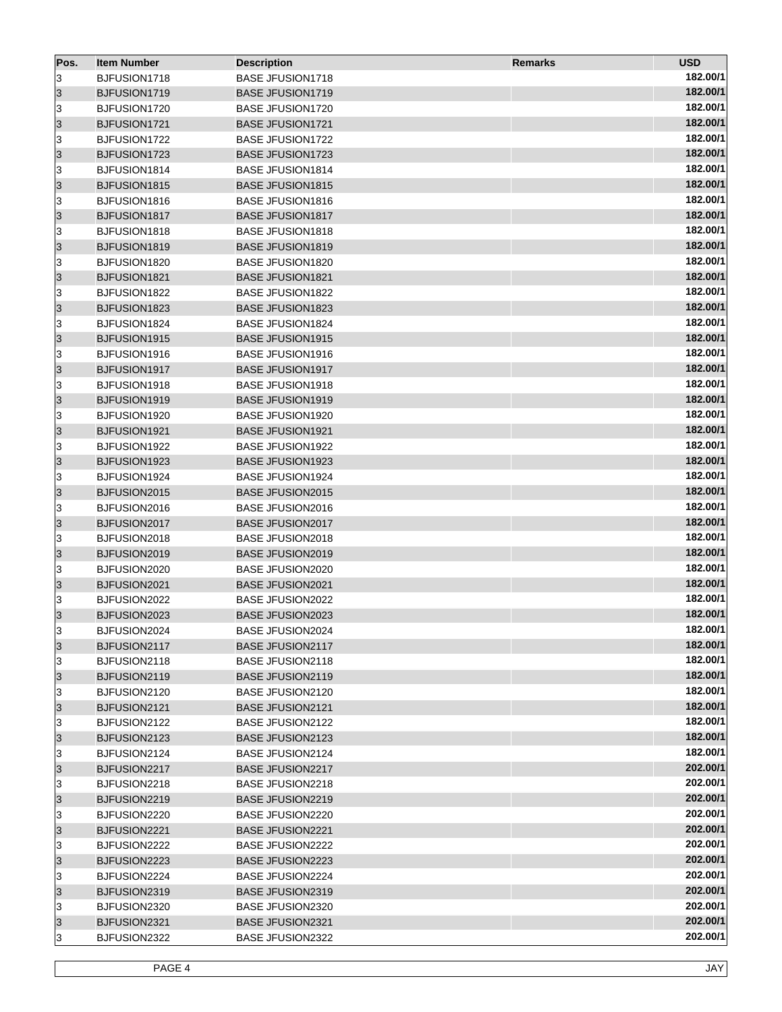| Pos.      | <b>Item Number</b> | <b>Description</b>      | Remarks | <b>USD</b> |
|-----------|--------------------|-------------------------|---------|------------|
| 3         | BJFUSION1718       | <b>BASE JFUSION1718</b> |         | 182.00/1   |
| 3         | BJFUSION1719       | <b>BASE JFUSION1719</b> |         | 182.00/1   |
| 3         | BJFUSION1720       | <b>BASE JFUSION1720</b> |         | 182.00/1   |
| 3         | BJFUSION1721       | <b>BASE JFUSION1721</b> |         | 182.00/1   |
| 3         | BJFUSION1722       | <b>BASE JFUSION1722</b> |         | 182.00/1   |
| 3         | BJFUSION1723       | <b>BASE JFUSION1723</b> |         | 182.00/1   |
| 3         | BJFUSION1814       | <b>BASE JFUSION1814</b> |         | 182.00/1   |
| 3         | BJFUSION1815       | <b>BASE JFUSION1815</b> |         | 182.00/1   |
| 3         | BJFUSION1816       | <b>BASE JFUSION1816</b> |         | 182.00/1   |
| 3         | BJFUSION1817       | <b>BASE JFUSION1817</b> |         | 182.00/1   |
| 3         | BJFUSION1818       | <b>BASE JFUSION1818</b> |         | 182.00/1   |
| 3         | BJFUSION1819       | <b>BASE JFUSION1819</b> |         | 182.00/1   |
| 3         | BJFUSION1820       | <b>BASE JFUSION1820</b> |         | 182.00/1   |
| 3         | BJFUSION1821       | <b>BASE JFUSION1821</b> |         | 182.00/1   |
| 3         | BJFUSION1822       | <b>BASE JFUSION1822</b> |         | 182.00/1   |
| 3         | BJFUSION1823       | <b>BASE JFUSION1823</b> |         | 182.00/1   |
| 3         | BJFUSION1824       | <b>BASE JFUSION1824</b> |         | 182.00/1   |
| $\vert$ 3 | BJFUSION1915       | <b>BASE JFUSION1915</b> |         | 182.00/1   |
| 3         | BJFUSION1916       | <b>BASE JFUSION1916</b> |         | 182.00/1   |
| 3         | BJFUSION1917       | <b>BASE JFUSION1917</b> |         | 182.00/1   |
| 3         | BJFUSION1918       | <b>BASE JFUSION1918</b> |         | 182.00/1   |
| $\vert$ 3 | BJFUSION1919       | <b>BASE JFUSION1919</b> |         | 182.00/1   |
| 3         | BJFUSION1920       | <b>BASE JFUSION1920</b> |         | 182.00/1   |
| 3         | BJFUSION1921       | <b>BASE JFUSION1921</b> |         | 182.00/1   |
| 3         | BJFUSION1922       | <b>BASE JFUSION1922</b> |         | 182.00/1   |
| 3         | BJFUSION1923       | <b>BASE JFUSION1923</b> |         | 182.00/1   |
| 3         | BJFUSION1924       | <b>BASE JFUSION1924</b> |         | 182.00/1   |
| 3         | BJFUSION2015       | <b>BASE JFUSION2015</b> |         | 182.00/1   |
| 3         | BJFUSION2016       | <b>BASE JFUSION2016</b> |         | 182.00/1   |
| 3         | BJFUSION2017       | <b>BASE JFUSION2017</b> |         | 182.00/1   |
| 3         | BJFUSION2018       | <b>BASE JFUSION2018</b> |         | 182.00/1   |
| 3         | BJFUSION2019       | <b>BASE JFUSION2019</b> |         | 182.00/1   |
| 3         | BJFUSION2020       | <b>BASE JFUSION2020</b> |         | 182.00/1   |
| 3         | BJFUSION2021       | <b>BASE JFUSION2021</b> |         | 182.00/1   |
| 3         | BJFUSION2022       | <b>BASE JFUSION2022</b> |         | 182.00/1   |
| 3         | BJFUSION2023       | <b>BASE JFUSION2023</b> |         | 182.00/1   |
| 3         | BJFUSION2024       | <b>BASE JFUSION2024</b> |         | 182.00/1   |
| 3         | BJFUSION2117       | <b>BASE JFUSION2117</b> |         | 182.00/1   |
| 3         | BJFUSION2118       | <b>BASE JFUSION2118</b> |         | 182.00/1   |
| 3         | BJFUSION2119       | <b>BASE JFUSION2119</b> |         | 182.00/1   |
| 3         | BJFUSION2120       | <b>BASE JFUSION2120</b> |         | 182.00/1   |
| 3         | BJFUSION2121       | <b>BASE JFUSION2121</b> |         | 182.00/1   |
| 3         | BJFUSION2122       | <b>BASE JFUSION2122</b> |         | 182.00/1   |
| 3         | BJFUSION2123       | <b>BASE JFUSION2123</b> |         | 182.00/1   |
| 3         | BJFUSION2124       | <b>BASE JFUSION2124</b> |         | 182.00/1   |
| 3         | BJFUSION2217       | <b>BASE JFUSION2217</b> |         | 202.00/1   |
| 3         | BJFUSION2218       | <b>BASE JFUSION2218</b> |         | 202.00/1   |
| 3         | BJFUSION2219       | <b>BASE JFUSION2219</b> |         | 202.00/1   |
| 3         | BJFUSION2220       | <b>BASE JFUSION2220</b> |         | 202.00/1   |
| 3         | BJFUSION2221       | <b>BASE JFUSION2221</b> |         | 202.00/1   |
| 3         | BJFUSION2222       | <b>BASE JFUSION2222</b> |         | 202.00/1   |
| 3         | BJFUSION2223       | <b>BASE JFUSION2223</b> |         | 202.00/1   |
| 3         | BJFUSION2224       | <b>BASE JFUSION2224</b> |         | 202.00/1   |
| 3         | BJFUSION2319       | <b>BASE JFUSION2319</b> |         | 202.00/1   |
| 3         | BJFUSION2320       | <b>BASE JFUSION2320</b> |         | 202.00/1   |
| 3         | BJFUSION2321       | <b>BASE JFUSION2321</b> |         | 202.00/1   |
| 3         | BJFUSION2322       | <b>BASE JFUSION2322</b> |         | 202.00/1   |